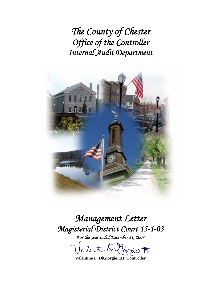*The County of Chester Office of the Controller Internal Audit Department* 



# *Management Letter Magisterial District Court 15-1-03*

*For the year ended December 31, 2007* 

let O. Hirgio F

**Valentino F. DiGiorgio, III, Controller**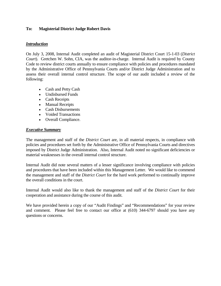## **To: Magisterial District Judge Robert Davis**

## *Introduction*

On July 3, 2008, Internal Audit completed an audit of Magisterial District Court 15-1-03 (*District Court*). Gretchen W. Sohn, CIA, was the auditor-in-charge. Internal Audit is required by County Code to review district courts annually to ensure compliance with policies and procedures mandated by the Administrative Office of Pennsylvania Courts and/or District Judge Administration and to assess their overall internal control structure. The scope of our audit included a review of the following:

- Cash and Petty Cash
- Undisbursed Funds
- Cash Receipts
- Manual Receipts
- Cash Disbursements
- Voided Transactions
- Overall Compliance.

#### *Executive Summary*

The management and staff of the *District Court* are, in all material respects, in compliance with policies and procedures set forth by the Administrative Office of Pennsylvania Courts and directives imposed by District Judge Administration. Also, Internal Audit noted no significant deficiencies or material weaknesses in the overall internal control structure.

Internal Audit did note several matters of a lesser significance involving compliance with policies and procedures that have been included within this Management Letter. We would like to commend the management and staff of the *District Court* for the hard work performed to continually improve the overall conditions in the court.

Internal Audit would also like to thank the management and staff of the *District Court* for their cooperation and assistance during the course of this audit.

We have provided herein a copy of our "Audit Findings" and "Recommendations" for your review and comment. Please feel free to contact our office at (610) 344-6797 should you have any questions or concerns.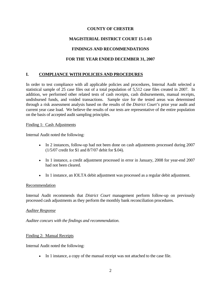## **COUNTY OF CHESTER**

# **MAGISTERIAL DISTRICT COURT 15-1-03**

## **FINDINGS AND RECOMMENDATIONS**

## **FOR THE YEAR ENDED DECEMBER 31, 2007**

## **I. COMPLIANCE WITH POLICIES AND PROCEDURES**

In order to test compliance with all applicable policies and procedures, Internal Audit selected a statistical sample of 25 case files out of a total population of 5,512 case files created in 2007. In addition, we performed other related tests of cash receipts, cash disbursements, manual receipts, undisbursed funds, and voided transactions. Sample size for the tested areas was determined through a risk assessment analysis based on the results of the *District Court's* prior year audit and current year case load. We believe the results of our tests are representative of the entire population on the basis of accepted audit sampling principles.

## Finding 1: Cash Adjustments

Internal Audit noted the following:

- In 2 instances, follow-up had not been done on cash adjustments processed during 2007 (1/5/07 credit for \$1 and 8/7/07 debit for \$.04).
- In 1 instance, a credit adjustment processed in error in January, 2008 for year-end 2007 had not been cleared.
- In 1 instance, an IOLTA debit adjustment was processed as a regular debit adjustment.

## Recommendation

Internal Audit recommends that *District Court* management perform follow-up on previously processed cash adjustments as they perform the monthly bank reconciliation procedures.

## *Auditee Response*

*Auditee concurs with the findings and recommendation.* 

## Finding 2: Manual Receipts

Internal Audit noted the following:

• In 1 instance, a copy of the manual receipt was not attached to the case file.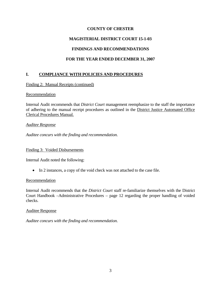## **COUNTY OF CHESTER**

## **MAGISTERIAL DISTRICT COURT 15-1-03**

## **FINDINGS AND RECOMMENDATIONS**

## **FOR THE YEAR ENDED DECEMBER 31, 2007**

## **I. COMPLIANCE WITH POLICIES AND PROCEDURES**

Finding 2: Manual Receipts (continued)

## **Recommendation**

Internal Audit recommends that *District Court* management reemphasize to the staff the importance of adhering to the manual receipt procedures as outlined in the District Justice Automated Office Clerical Procedures Manual.

## *Auditee Response*

*Auditee concurs with the finding and recommendation.* 

## Finding 3: Voided Disbursements

Internal Audit noted the following:

• In 2 instances, a copy of the void check was not attached to the case file.

## Recommendation

Internal Audit recommends that the *District Court* staff re-familiarize themselves with the District Court Handbook –Administrative Procedures – page 12 regarding the proper handling of voided checks.

## Auditee Response

*Auditee concurs with the finding and recommendation.*